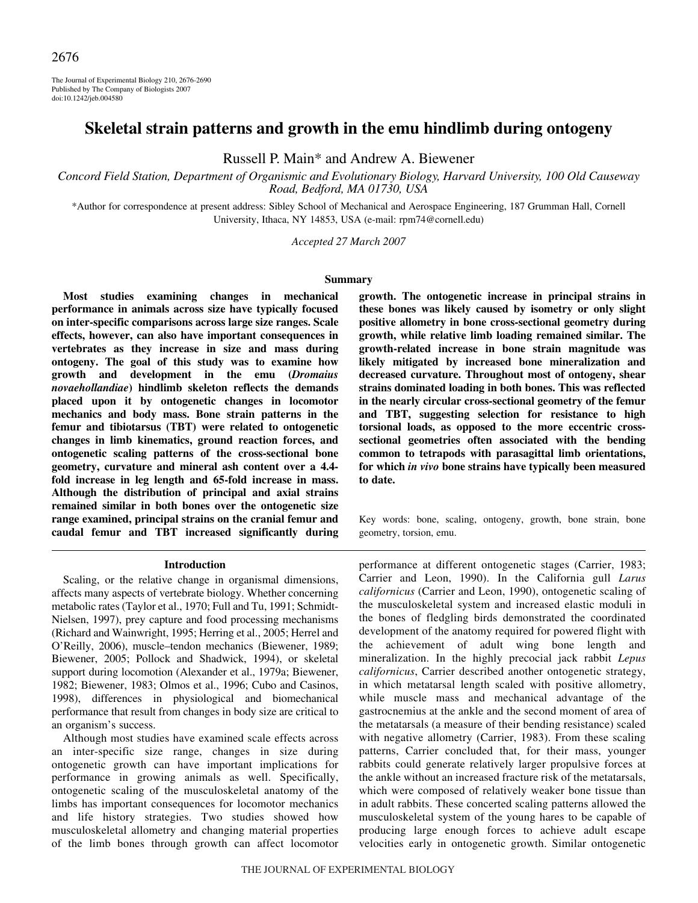The Journal of Experimental Biology 210, 2676-2690 Published by The Company of Biologists 2007 doi:10.1242/jeb.004580

# **Skeletal strain patterns and growth in the emu hindlimb during ontogeny**

Russell P. Main\* and Andrew A. Biewener

*Concord Field Station, Department of Organismic and Evolutionary Biology, Harvard University, 100 Old Causeway Road, Bedford, MA 01730, USA*

\*Author for correspondence at present address: Sibley School of Mechanical and Aerospace Engineering, 187 Grumman Hall, Cornell University, Ithaca, NY 14853, USA (e-mail: rpm74@cornell.edu)

*Accepted 27 March 2007*

#### **Summary**

**Most studies examining changes in mechanical performance in animals across size have typically focused on inter-specific comparisons across large size ranges. Scale effects, however, can also have important consequences in vertebrates as they increase in size and mass during ontogeny. The goal of this study was to examine how growth and development in the emu (***Dromaius novaehollandiae***) hindlimb skeleton reflects the demands placed upon it by ontogenetic changes in locomotor mechanics and body mass. Bone strain patterns in the femur and tibiotarsus (TBT) were related to ontogenetic changes in limb kinematics, ground reaction forces, and ontogenetic scaling patterns of the cross-sectional bone geometry, curvature and mineral ash content over a 4.4 fold increase in leg length and 65-fold increase in mass. Although the distribution of principal and axial strains remained similar in both bones over the ontogenetic size range examined, principal strains on the cranial femur and caudal femur and TBT increased significantly during**

#### **Introduction**

Scaling, or the relative change in organismal dimensions, affects many aspects of vertebrate biology. Whether concerning metabolic rates (Taylor et al., 1970; Full and Tu, 1991; Schmidt-Nielsen, 1997), prey capture and food processing mechanisms (Richard and Wainwright, 1995; Herring et al., 2005; Herrel and O'Reilly, 2006), muscle–tendon mechanics (Biewener, 1989; Biewener, 2005; Pollock and Shadwick, 1994), or skeletal support during locomotion (Alexander et al., 1979a; Biewener, 1982; Biewener, 1983; Olmos et al., 1996; Cubo and Casinos, 1998), differences in physiological and biomechanical performance that result from changes in body size are critical to an organism's success.

Although most studies have examined scale effects across an inter-specific size range, changes in size during ontogenetic growth can have important implications for performance in growing animals as well. Specifically, ontogenetic scaling of the musculoskeletal anatomy of the limbs has important consequences for locomotor mechanics and life history strategies. Two studies showed how musculoskeletal allometry and changing material properties of the limb bones through growth can affect locomotor

**growth. The ontogenetic increase in principal strains in these bones was likely caused by isometry or only slight positive allometry in bone cross-sectional geometry during growth, while relative limb loading remained similar. The growth-related increase in bone strain magnitude was likely mitigated by increased bone mineralization and decreased curvature. Throughout most of ontogeny, shear strains dominated loading in both bones. This was reflected in the nearly circular cross-sectional geometry of the femur and TBT, suggesting selection for resistance to high torsional loads, as opposed to the more eccentric crosssectional geometries often associated with the bending common to tetrapods with parasagittal limb orientations, for which** *in vivo* **bone strains have typically been measured to date.**

Key words: bone, scaling, ontogeny, growth, bone strain, bone geometry, torsion, emu.

performance at different ontogenetic stages (Carrier, 1983; Carrier and Leon, 1990). In the California gull *Larus californicus* (Carrier and Leon, 1990), ontogenetic scaling of the musculoskeletal system and increased elastic moduli in the bones of fledgling birds demonstrated the coordinated development of the anatomy required for powered flight with the achievement of adult wing bone length and mineralization. In the highly precocial jack rabbit *Lepus californicus*, Carrier described another ontogenetic strategy, in which metatarsal length scaled with positive allometry, while muscle mass and mechanical advantage of the gastrocnemius at the ankle and the second moment of area of the metatarsals (a measure of their bending resistance) scaled with negative allometry (Carrier, 1983). From these scaling patterns, Carrier concluded that, for their mass, younger rabbits could generate relatively larger propulsive forces at the ankle without an increased fracture risk of the metatarsals, which were composed of relatively weaker bone tissue than in adult rabbits. These concerted scaling patterns allowed the musculoskeletal system of the young hares to be capable of producing large enough forces to achieve adult escape velocities early in ontogenetic growth. Similar ontogenetic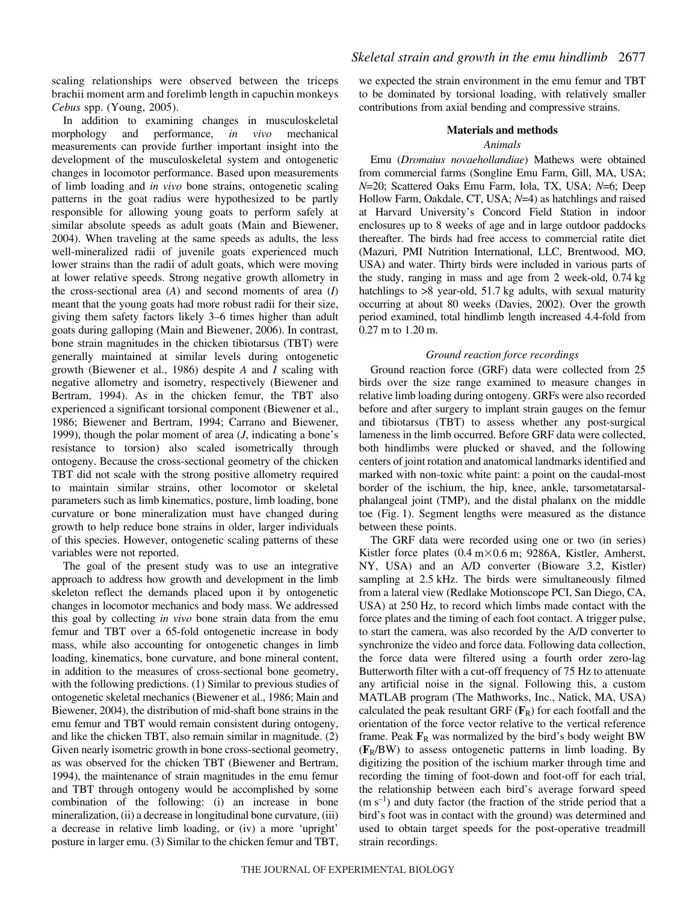scaling relationships were observed between the triceps brachii moment arm and forelimb length in capuchin monkeys *Cebus* spp. (Young, 2005).

In addition to examining changes in musculoskeletal morphology and performance, *in vivo* mechanical measurements can provide further important insight into the development of the musculoskeletal system and ontogenetic changes in locomotor performance. Based upon measurements of limb loading and *in vivo* bone strains, ontogenetic scaling patterns in the goat radius were hypothesized to be partly responsible for allowing young goats to perform safely at similar absolute speeds as adult goats (Main and Biewener, 2004). When traveling at the same speeds as adults, the less well-mineralized radii of juvenile goats experienced much lower strains than the radii of adult goats, which were moving at lower relative speeds. Strong negative growth allometry in the cross-sectional area (*A*) and second moments of area (*I*) meant that the young goats had more robust radii for their size, giving them safety factors likely 3–6 times higher than adult goats during galloping (Main and Biewener, 2006). In contrast, bone strain magnitudes in the chicken tibiotarsus (TBT) were generally maintained at similar levels during ontogenetic growth (Biewener et al., 1986) despite *A* and *I* scaling with negative allometry and isometry, respectively (Biewener and Bertram, 1994). As in the chicken femur, the TBT also experienced a significant torsional component (Biewener et al., 1986; Biewener and Bertram, 1994; Carrano and Biewener, 1999), though the polar moment of area (*J*, indicating a bone's resistance to torsion) also scaled isometrically through ontogeny. Because the cross-sectional geometry of the chicken TBT did not scale with the strong positive allometry required to maintain similar strains, other locomotor or skeletal parameters such as limb kinematics, posture, limb loading, bone curvature or bone mineralization must have changed during growth to help reduce bone strains in older, larger individuals of this species. However, ontogenetic scaling patterns of these variables were not reported.

The goal of the present study was to use an integrative approach to address how growth and development in the limb skeleton reflect the demands placed upon it by ontogenetic changes in locomotor mechanics and body mass. We addressed this goal by collecting *in vivo* bone strain data from the emu femur and TBT over a 65-fold ontogenetic increase in body mass, while also accounting for ontogenetic changes in limb loading, kinematics, bone curvature, and bone mineral content, in addition to the measures of cross-sectional bone geometry, with the following predictions. (1) Similar to previous studies of ontogenetic skeletal mechanics (Biewener et al., 1986; Main and Biewener, 2004), the distribution of mid-shaft bone strains in the emu femur and TBT would remain consistent during ontogeny, and like the chicken TBT, also remain similar in magnitude. (2) Given nearly isometric growth in bone cross-sectional geometry, as was observed for the chicken TBT (Biewener and Bertram, 1994), the maintenance of strain magnitudes in the emu femur and TBT through ontogeny would be accomplished by some combination of the following: (i) an increase in bone mineralization, (ii) a decrease in longitudinal bone curvature, (iii) a decrease in relative limb loading, or (iv) a more 'upright' posture in larger emu. (3) Similar to the chicken femur and TBT,

we expected the strain environment in the emu femur and TBT to be dominated by torsional loading, with relatively smaller contributions from axial bending and compressive strains.

### **Materials and methods**

#### *Animals*

Emu (*Dromaius novaehollandiae*) Mathews were obtained from commercial farms (Songline Emu Farm, Gill, MA, USA; *N*=20; Scattered Oaks Emu Farm, Iola, TX, USA; *N*=6; Deep Hollow Farm, Oakdale, CT, USA; *N*=4) as hatchlings and raised at Harvard University's Concord Field Station in indoor enclosures up to 8 weeks of age and in large outdoor paddocks thereafter. The birds had free access to commercial ratite diet (Mazuri, PMI Nutrition International, LLC, Brentwood, MO, USA) and water. Thirty birds were included in various parts of the study, ranging in mass and age from 2 week-old, 0.74 kg hatchlings to  $>8$  year-old, 51.7 kg adults, with sexual maturity occurring at about 80 weeks (Davies, 2002). Over the growth period examined, total hindlimb length increased 4.4-fold from  $0.27 \text{ m}$  to  $1.20 \text{ m}$ .

# *Ground reaction force recordings*

Ground reaction force (GRF) data were collected from 25 birds over the size range examined to measure changes in relative limb loading during ontogeny. GRFs were also recorded before and after surgery to implant strain gauges on the femur and tibiotarsus (TBT) to assess whether any post-surgical lameness in the limb occurred. Before GRF data were collected, both hindlimbs were plucked or shaved, and the following centers of joint rotation and anatomical landmarks identified and marked with non-toxic white paint: a point on the caudal-most border of the ischium, the hip, knee, ankle, tarsometatarsalphalangeal joint (TMP), and the distal phalanx on the middle toe (Fig. 1). Segment lengths were measured as the distance between these points.

The GRF data were recorded using one or two (in series) Kistler force plates (0.4 m×0.6 m; 9286A, Kistler, Amherst, NY, USA) and an A/D converter (Bioware 3.2, Kistler) sampling at 2.5 kHz. The birds were simultaneously filmed from a lateral view (Redlake Motionscope PCI, San Diego, CA, USA) at 250 Hz, to record which limbs made contact with the force plates and the timing of each foot contact. A trigger pulse, to start the camera, was also recorded by the A/D converter to synchronize the video and force data. Following data collection, the force data were filtered using a fourth order zero-lag Butterworth filter with a cut-off frequency of 75 Hz to attenuate any artificial noise in the signal. Following this, a custom MATLAB program (The Mathworks, Inc., Natick, MA, USA) calculated the peak resultant GRF  $(\mathbf{F}_R)$  for each footfall and the orientation of the force vector relative to the vertical reference frame. Peak  $\mathbf{F}_R$  was normalized by the bird's body weight BW (**F**R/BW) to assess ontogenetic patterns in limb loading. By digitizing the position of the ischium marker through time and recording the timing of foot-down and foot-off for each trial, the relationship between each bird's average forward speed  $(m s<sup>-1</sup>)$  and duty factor (the fraction of the stride period that a bird's foot was in contact with the ground) was determined and used to obtain target speeds for the post-operative treadmill strain recordings.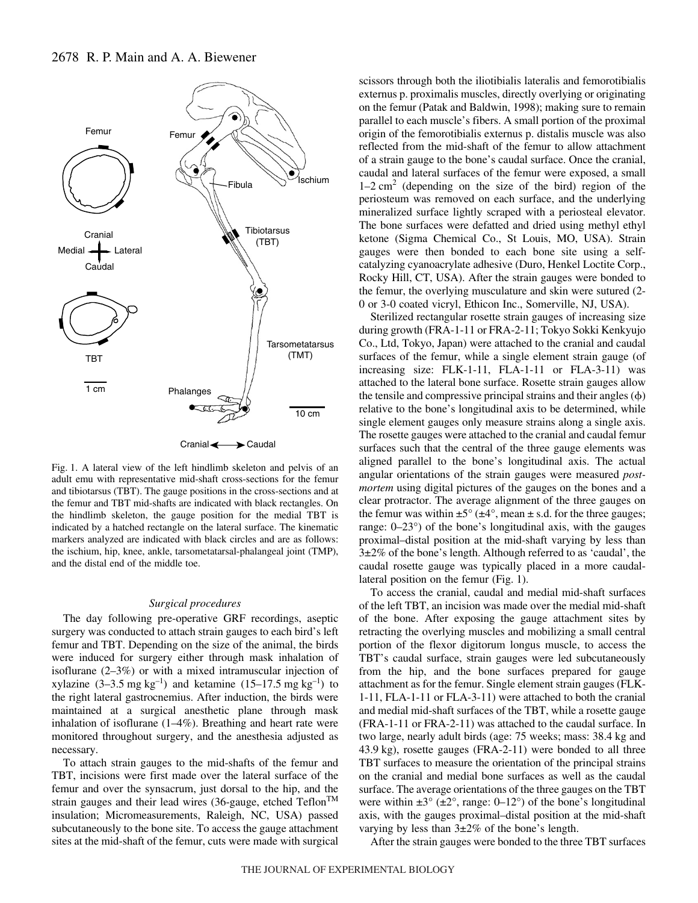

Fig. 1. A lateral view of the left hindlimb skeleton and pelvis of an adult emu with representative mid-shaft cross-sections for the femur and tibiotarsus (TBT). The gauge positions in the cross-sections and at the femur and TBT mid-shafts are indicated with black rectangles. On the hindlimb skeleton, the gauge position for the medial TBT is indicated by a hatched rectangle on the lateral surface. The kinematic markers analyzed are indicated with black circles and are as follows: the ischium, hip, knee, ankle, tarsometatarsal-phalangeal joint (TMP), and the distal end of the middle toe.

#### *Surgical procedures*

The day following pre-operative GRF recordings, aseptic surgery was conducted to attach strain gauges to each bird's left femur and TBT. Depending on the size of the animal, the birds were induced for surgery either through mask inhalation of isoflurane (2–3%) or with a mixed intramuscular injection of xylazine  $(3-3.5 \text{ mg kg}^{-1})$  and ketamine  $(15-17.5 \text{ mg kg}^{-1})$  to the right lateral gastrocnemius. After induction, the birds were maintained at a surgical anesthetic plane through mask inhalation of isoflurane (1–4%). Breathing and heart rate were monitored throughout surgery, and the anesthesia adjusted as necessary.

To attach strain gauges to the mid-shafts of the femur and TBT, incisions were first made over the lateral surface of the femur and over the synsacrum, just dorsal to the hip, and the strain gauges and their lead wires (36-gauge, etched Teflon<sup>TM</sup> insulation; Micromeasurements, Raleigh, NC, USA) passed subcutaneously to the bone site. To access the gauge attachment sites at the mid-shaft of the femur, cuts were made with surgical scissors through both the iliotibialis lateralis and femorotibialis externus p. proximalis muscles, directly overlying or originating on the femur (Patak and Baldwin, 1998); making sure to remain parallel to each muscle's fibers. A small portion of the proximal origin of the femorotibialis externus p. distalis muscle was also reflected from the mid-shaft of the femur to allow attachment of a strain gauge to the bone's caudal surface. Once the cranial, caudal and lateral surfaces of the femur were exposed, a small  $1-2$  cm<sup>2</sup> (depending on the size of the bird) region of the periosteum was removed on each surface, and the underlying mineralized surface lightly scraped with a periosteal elevator. The bone surfaces were defatted and dried using methyl ethyl ketone (Sigma Chemical Co., St Louis, MO, USA). Strain gauges were then bonded to each bone site using a selfcatalyzing cyanoacrylate adhesive (Duro, Henkel Loctite Corp., Rocky Hill, CT, USA). After the strain gauges were bonded to the femur, the overlying musculature and skin were sutured (2- 0 or 3-0 coated vicryl, Ethicon Inc., Somerville, NJ, USA).

Sterilized rectangular rosette strain gauges of increasing size during growth (FRA-1-11 or FRA-2-11; Tokyo Sokki Kenkyujo Co., Ltd, Tokyo, Japan) were attached to the cranial and caudal surfaces of the femur, while a single element strain gauge (of increasing size: FLK-1-11, FLA-1-11 or FLA-3-11) was attached to the lateral bone surface. Rosette strain gauges allow the tensile and compressive principal strains and their angles  $(\phi)$ relative to the bone's longitudinal axis to be determined, while single element gauges only measure strains along a single axis. The rosette gauges were attached to the cranial and caudal femur surfaces such that the central of the three gauge elements was aligned parallel to the bone's longitudinal axis. The actual angular orientations of the strain gauges were measured *postmortem* using digital pictures of the gauges on the bones and a clear protractor. The average alignment of the three gauges on the femur was within  $\pm 5^{\circ}$  ( $\pm 4^{\circ}$ , mean  $\pm$  s.d. for the three gauges; range: 0–23°) of the bone's longitudinal axis, with the gauges proximal–distal position at the mid-shaft varying by less than 3±2% of the bone's length. Although referred to as 'caudal', the caudal rosette gauge was typically placed in a more caudallateral position on the femur  $(Fig. 1)$ .

To access the cranial, caudal and medial mid-shaft surfaces of the left TBT, an incision was made over the medial mid-shaft of the bone. After exposing the gauge attachment sites by retracting the overlying muscles and mobilizing a small central portion of the flexor digitorum longus muscle, to access the TBT's caudal surface, strain gauges were led subcutaneously from the hip, and the bone surfaces prepared for gauge attachment as for the femur. Single element strain gauges (FLK-1-11, FLA-1-11 or FLA-3-11) were attached to both the cranial and medial mid-shaft surfaces of the TBT, while a rosette gauge (FRA-1-11 or FRA-2-11) was attached to the caudal surface. In two large, nearly adult birds (age: 75 weeks; mass: 38.4 kg and  $43.9 \text{ kg}$ ), rosette gauges (FRA-2-11) were bonded to all three TBT surfaces to measure the orientation of the principal strains on the cranial and medial bone surfaces as well as the caudal surface. The average orientations of the three gauges on the TBT were within  $\pm 3^{\circ}$  ( $\pm 2^{\circ}$ , range: 0–12°) of the bone's longitudinal axis, with the gauges proximal–distal position at the mid-shaft varying by less than 3±2% of the bone's length.

After the strain gauges were bonded to the three TBT surfaces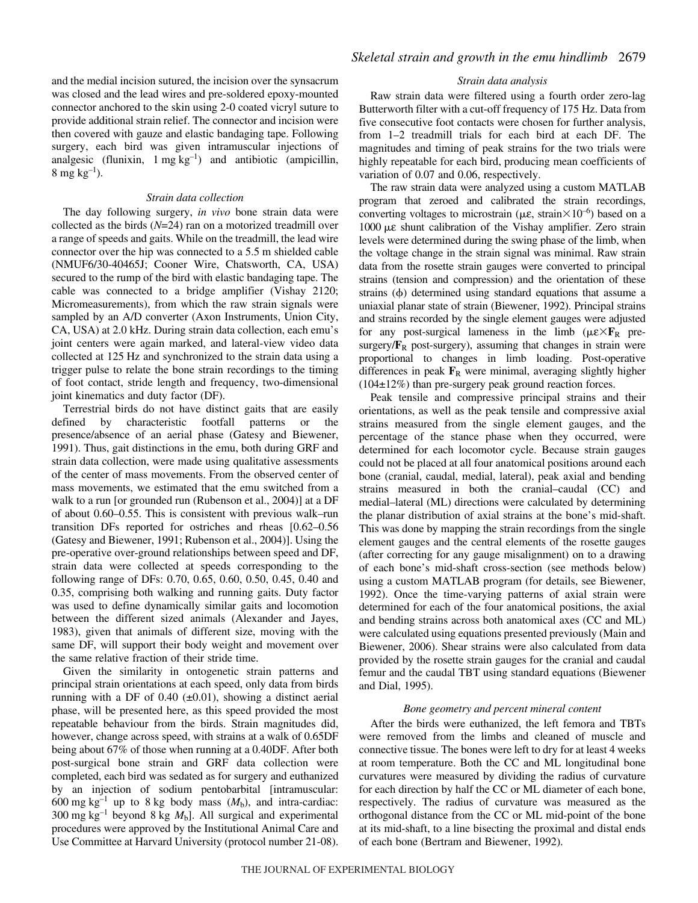and the medial incision sutured, the incision over the synsacrum was closed and the lead wires and pre-soldered epoxy-mounted connector anchored to the skin using 2-0 coated vicryl suture to provide additional strain relief. The connector and incision were then covered with gauze and elastic bandaging tape. Following surgery, each bird was given intramuscular injections of analgesic (flunixin,  $1 \text{ mg kg}^{-1}$ ) and antibiotic (ampicillin, 8 mg  $kg^{-1}$ ).

#### *Strain data collection*

The day following surgery, *in vivo* bone strain data were collected as the birds (*N*=24) ran on a motorized treadmill over a range of speeds and gaits. While on the treadmill, the lead wire connector over the hip was connected to a 5.5 m shielded cable (NMUF6/30-40465J; Cooner Wire, Chatsworth, CA, USA) secured to the rump of the bird with elastic bandaging tape. The cable was connected to a bridge amplifier (Vishay 2120; Micromeasurements), from which the raw strain signals were sampled by an A/D converter (Axon Instruments, Union City, CA, USA) at 2.0 kHz. During strain data collection, each emu's joint centers were again marked, and lateral-view video data collected at 125 Hz and synchronized to the strain data using a trigger pulse to relate the bone strain recordings to the timing of foot contact, stride length and frequency, two-dimensional joint kinematics and duty factor (DF).

Terrestrial birds do not have distinct gaits that are easily defined by characteristic footfall patterns or the presence/absence of an aerial phase (Gatesy and Biewener, 1991). Thus, gait distinctions in the emu, both during GRF and strain data collection, were made using qualitative assessments of the center of mass movements. From the observed center of mass movements, we estimated that the emu switched from a walk to a run [or grounded run (Rubenson et al., 2004)] at a DF of about 0.60–0.55. This is consistent with previous walk–run transition DFs reported for ostriches and rheas [0.62–0.56 (Gatesy and Biewener, 1991; Rubenson et al., 2004)]. Using the pre-operative over-ground relationships between speed and DF, strain data were collected at speeds corresponding to the following range of DFs: 0.70, 0.65, 0.60, 0.50, 0.45, 0.40 and 0.35, comprising both walking and running gaits. Duty factor was used to define dynamically similar gaits and locomotion between the different sized animals (Alexander and Jayes, 1983), given that animals of different size, moving with the same DF, will support their body weight and movement over the same relative fraction of their stride time.

Given the similarity in ontogenetic strain patterns and principal strain orientations at each speed, only data from birds running with a DF of 0.40  $(\pm 0.01)$ , showing a distinct aerial phase, will be presented here, as this speed provided the most repeatable behaviour from the birds. Strain magnitudes did, however, change across speed, with strains at a walk of 0.65DF being about 67% of those when running at a 0.40DF. After both post-surgical bone strain and GRF data collection were completed, each bird was sedated as for surgery and euthanized by an injection of sodium pentobarbital [intramuscular: 600 mg kg<sup>-1</sup> up to 8 kg body mass  $(M_b)$ , and intra-cardiac: 300 mg kg<sup>-1</sup> beyond 8 kg  $M_b$ ]. All surgical and experimental procedures were approved by the Institutional Animal Care and Use Committee at Harvard University (protocol number 21-08).

### *Strain data analysis*

Raw strain data were filtered using a fourth order zero-lag Butterworth filter with a cut-off frequency of 175 Hz. Data from five consecutive foot contacts were chosen for further analysis, from 1–2 treadmill trials for each bird at each DF. The magnitudes and timing of peak strains for the two trials were highly repeatable for each bird, producing mean coefficients of variation of 0.07 and 0.06, respectively.

The raw strain data were analyzed using a custom MATLAB program that zeroed and calibrated the strain recordings, converting voltages to microstrain ( $\mu \varepsilon$ , strain $\times 10^{-6}$ ) based on a  $1000 \mu$ ε shunt calibration of the Vishay amplifier. Zero strain levels were determined during the swing phase of the limb, when the voltage change in the strain signal was minimal. Raw strain data from the rosette strain gauges were converted to principal strains (tension and compression) and the orientation of these strains  $(\phi)$  determined using standard equations that assume a uniaxial planar state of strain (Biewener, 1992). Principal strains and strains recorded by the single element gauges were adjusted for any post-surgical lameness in the limb  $(\mu \varepsilon \times \mathbf{F}_R)$  presurgery/ $\mathbf{F}_R$  post-surgery), assuming that changes in strain were proportional to changes in limb loading. Post-operative differences in peak  $\mathbf{F}_R$  were minimal, averaging slightly higher  $(104\pm12\%)$  than pre-surgery peak ground reaction forces.

Peak tensile and compressive principal strains and their orientations, as well as the peak tensile and compressive axial strains measured from the single element gauges, and the percentage of the stance phase when they occurred, were determined for each locomotor cycle. Because strain gauges could not be placed at all four anatomical positions around each bone (cranial, caudal, medial, lateral), peak axial and bending strains measured in both the cranial–caudal (CC) and medial–lateral (ML) directions were calculated by determining the planar distribution of axial strains at the bone's mid-shaft. This was done by mapping the strain recordings from the single element gauges and the central elements of the rosette gauges (after correcting for any gauge misalignment) on to a drawing of each bone's mid-shaft cross-section (see methods below) using a custom MATLAB program (for details, see Biewener, 1992). Once the time-varying patterns of axial strain were determined for each of the four anatomical positions, the axial and bending strains across both anatomical axes (CC and ML) were calculated using equations presented previously (Main and Biewener, 2006). Shear strains were also calculated from data provided by the rosette strain gauges for the cranial and caudal femur and the caudal TBT using standard equations (Biewener and Dial, 1995).

### *Bone geometry and percent mineral content*

After the birds were euthanized, the left femora and TBTs were removed from the limbs and cleaned of muscle and connective tissue. The bones were left to dry for at least 4 weeks at room temperature. Both the CC and ML longitudinal bone curvatures were measured by dividing the radius of curvature for each direction by half the CC or ML diameter of each bone, respectively. The radius of curvature was measured as the orthogonal distance from the CC or ML mid-point of the bone at its mid-shaft, to a line bisecting the proximal and distal ends of each bone (Bertram and Biewener, 1992).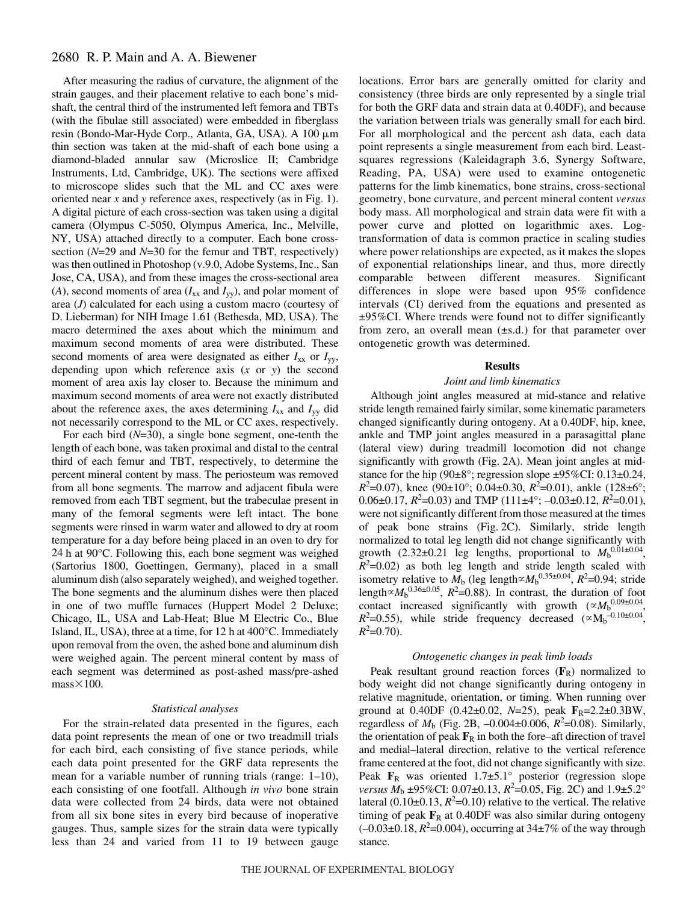# 2680 R. P. Main and A. A. Biewener

After measuring the radius of curvature, the alignment of the strain gauges, and their placement relative to each bone's midshaft, the central third of the instrumented left femora and TBTs (with the fibulae still associated) were embedded in fiberglass resin (Bondo-Mar-Hyde Corp., Atlanta, GA, USA). A 100  $\mu$ m thin section was taken at the mid-shaft of each bone using a diamond-bladed annular saw (Microslice II; Cambridge Instruments, Ltd, Cambridge, UK). The sections were affixed to microscope slides such that the ML and CC axes were oriented near *x* and *y* reference axes, respectively (as in Fig. 1). A digital picture of each cross-section was taken using a digital camera (Olympus C-5050, Olympus America, Inc., Melville, NY, USA) attached directly to a computer. Each bone crosssection (*N*=29 and *N*=30 for the femur and TBT, respectively) was then outlined in Photoshop (v.9.0, Adobe Systems, Inc., San Jose, CA, USA), and from these images the cross-sectional area  $(A)$ , second moments of area  $(I_{xx}$  and  $I_{yy}$ ), and polar moment of area (*J*) calculated for each using a custom macro (courtesy of D. Lieberman) for NIH Image 1.61 (Bethesda, MD, USA). The macro determined the axes about which the minimum and maximum second moments of area were distributed. These second moments of area were designated as either  $I_{xx}$  or  $I_{yy}$ , depending upon which reference axis (*x* or *y*) the second moment of area axis lay closer to. Because the minimum and maximum second moments of area were not exactly distributed about the reference axes, the axes determining  $I_{xx}$  and  $I_{yy}$  did not necessarily correspond to the ML or CC axes, respectively.

For each bird (*N*=30), a single bone segment, one-tenth the length of each bone, was taken proximal and distal to the central third of each femur and TBT, respectively, to determine the percent mineral content by mass. The periosteum was removed from all bone segments. The marrow and adjacent fibula were removed from each TBT segment, but the trabeculae present in many of the femoral segments were left intact. The bone segments were rinsed in warm water and allowed to dry at room temperature for a day before being placed in an oven to dry for 24 h at  $90^{\circ}$ C. Following this, each bone segment was weighed (Sartorius 1800, Goettingen, Germany), placed in a small aluminum dish (also separately weighed), and weighed together. The bone segments and the aluminum dishes were then placed in one of two muffle furnaces (Huppert Model 2 Deluxe; Chicago, IL, USA and Lab-Heat; Blue M Electric Co., Blue Island, IL, USA), three at a time, for 12 h at 400°C. Immediately upon removal from the oven, the ashed bone and aluminum dish were weighed again. The percent mineral content by mass of each segment was determined as post-ashed mass/pre-ashed  $mass \times 100$ .

#### *Statistical analyses*

For the strain-related data presented in the figures, each data point represents the mean of one or two treadmill trials for each bird, each consisting of five stance periods, while each data point presented for the GRF data represents the mean for a variable number of running trials (range: 1–10), each consisting of one footfall. Although *in vivo* bone strain data were collected from 24 birds, data were not obtained from all six bone sites in every bird because of inoperative gauges. Thus, sample sizes for the strain data were typically less than 24 and varied from 11 to 19 between gauge locations. Error bars are generally omitted for clarity and consistency (three birds are only represented by a single trial for both the GRF data and strain data at 0.40DF), and because the variation between trials was generally small for each bird. For all morphological and the percent ash data, each data point represents a single measurement from each bird. Leastsquares regressions (Kaleidagraph 3.6, Synergy Software, Reading, PA, USA) were used to examine ontogenetic patterns for the limb kinematics, bone strains, cross-sectional geometry, bone curvature, and percent mineral content *versus* body mass. All morphological and strain data were fit with a power curve and plotted on logarithmic axes. Logtransformation of data is common practice in scaling studies where power relationships are expected, as it makes the slopes of exponential relationships linear, and thus, more directly comparable between different measures. Significant differences in slope were based upon 95% confidence intervals (CI) derived from the equations and presented as ±95%CI. Where trends were found not to differ significantly from zero, an overall mean (±s.d.) for that parameter over ontogenetic growth was determined.

#### **Results**

#### *Joint and limb kinematics*

Although joint angles measured at mid-stance and relative stride length remained fairly similar, some kinematic parameters changed significantly during ontogeny. At a 0.40DF, hip, knee, ankle and TMP joint angles measured in a parasagittal plane (lateral view) during treadmill locomotion did not change significantly with growth (Fig. 2A). Mean joint angles at midstance for the hip (90 $\pm$ 8°; regression slope  $\pm$ 95%CI: 0.13 $\pm$ 0.24,  $R^2$ =0.07), knee (90±10°; 0.04±0.30,  $R^2$ =0.01), ankle (128±6°; 0.06 $\pm$ 0.17,  $R^2$ =0.03) and TMP (111 $\pm$ 4°; -0.03 $\pm$ 0.12,  $R^2$ =0.01), were not significantly different from those measured at the times of peak bone strains (Fig. 2C). Similarly, stride length normalized to total leg length did not change significantly with growth  $(2.32\pm0.21$  leg lengths, proportional to  $M<sub>b</sub>^{0.01\pm0.04}$ ,  $R^2$ =0.02) as both leg length and stride length scaled with isometry relative to  $M_b$  (leg length $\propto M_b^{0.35\pm0.04}$ ,  $R^2$ =0.94; stride length $\propto M_b^{0.36\pm0.05}$ ,  $R^2$ =0.88). In contrast, the duration of foot contact increased significantly with growth  $(\alpha M_b^{0.09\pm0.04},$  $R^2$ =0.55), while stride frequency decreased ( $\propto$ M<sub>b</sub><sup>-0.10±0.04</sup>,  $R^2$ =0.70).

#### *Ontogenetic changes in peak limb loads*

Peak resultant ground reaction forces  $(\mathbf{F}_R)$  normalized to body weight did not change significantly during ontogeny in relative magnitude, orientation, or timing. When running over ground at 0.40DF (0.42±0.02, *N*=25), peak **F**R=2.2±0.3BW, regardless of  $M_b$  (Fig. 2B,  $-0.004 \pm 0.006$ ,  $R^2 = 0.08$ ). Similarly, the orientation of peak  $\mathbf{F}_R$  in both the fore–aft direction of travel and medial–lateral direction, relative to the vertical reference frame centered at the foot, did not change significantly with size. Peak  $\mathbf{F}_R$  was oriented 1.7±5.1° posterior (regression slope *versus*  $M_b \pm 95\%$ CI: 0.07 $\pm$ 0.13,  $R^2 = 0.05$ , Fig. 2C) and  $1.9 \pm 5.2^\circ$ lateral  $(0.10\pm0.13, R^2=0.10)$  relative to the vertical. The relative timing of peak  $\mathbf{F}_R$  at 0.40DF was also similar during ontogeny  $(-0.03 \pm 0.18, R^2 = 0.004)$ , occurring at  $34 \pm 7\%$  of the way through stance.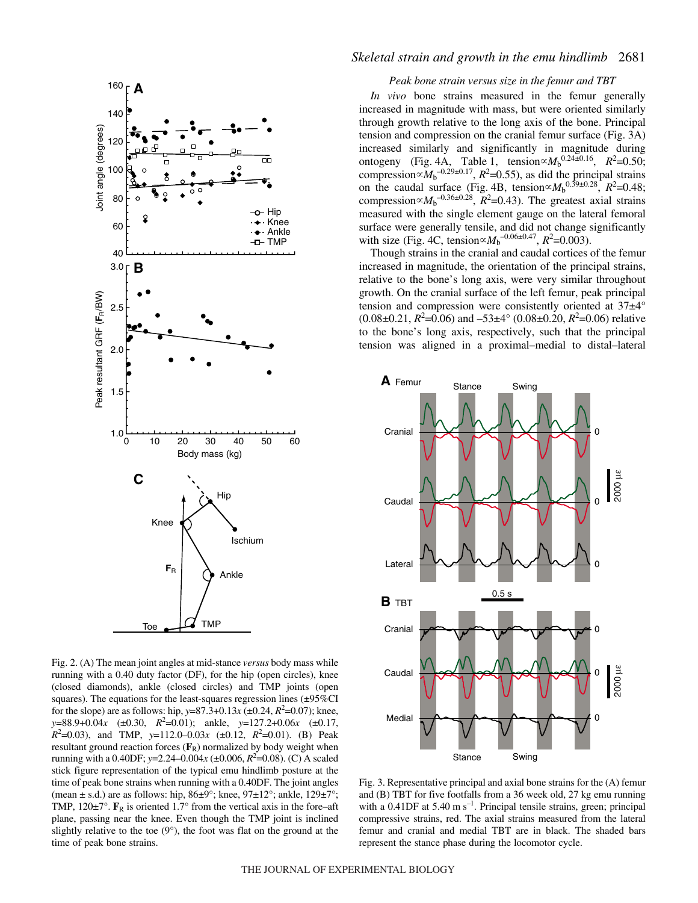

Fig. 2. (A) The mean joint angles at mid-stance *versus* body mass while running with a 0.40 duty factor (DF), for the hip (open circles), knee (closed diamonds), ankle (closed circles) and TMP joints (open squares). The equations for the least-squares regression lines  $(\pm 95\% \text{CI})$ for the slope) are as follows: hip,  $y=87.3+0.13x \,(\pm 0.24, R^2=0.07)$ ; knee, *y*=88.9+0.04*x* (±0.30, *R*<sup>2</sup> =0.01); ankle, *y*=127.2+0.06*x* (±0.17,  $R^2$ =0.03), and TMP,  $y=112.0-0.03x$  (±0.12,  $R^2$ =0.01). (B) Peak resultant ground reaction forces  $(\mathbf{F}_R)$  normalized by body weight when running with a 0.40DF; *y*=2.24–0.004*x* (±0.006, *R*<sup>2</sup> =0.08). (C) A scaled stick figure representation of the typical emu hindlimb posture at the time of peak bone strains when running with a 0.40DF. The joint angles (mean  $\pm$  s.d.) are as follows: hip, 86 $\pm$ 9°; knee, 97 $\pm$ 12°; ankle, 129 $\pm$ 7°; TMP,  $120\pm7^{\circ}$ .  $\mathbf{F}_R$  is oriented 1.7° from the vertical axis in the fore–aft plane, passing near the knee. Even though the TMP joint is inclined slightly relative to the toe  $(9^{\circ})$ , the foot was flat on the ground at the time of peak bone strains.

# *Skeletal strain and growth in the emu hindlimb* 2681

#### *Peak bone strain versus size in the femur and TBT*

*In vivo* bone strains measured in the femur generally increased in magnitude with mass, but were oriented similarly through growth relative to the long axis of the bone. Principal tension and compression on the cranial femur surface (Fig. 3A) increased similarly and significantly in magnitude during ontogeny (Fig. 4A, Table 1, tension $\alpha M_b^{0.24 \pm 0.16}$ ,  $R^2 = 0.50$ ; compression $\propto M_b^{-0.29 \pm 0.17}$ ,  $R^2$ =0.55), as did the principal strains on the caudal surface (Fig. 4B, tension $\propto M_b^{0.39\pm0.28}$ ,  $R^2$ =0.48; compression $\propto M_b^{-0.36 \pm 0.28}$ ,  $R^2$ =0.43). The greatest axial strains measured with the single element gauge on the lateral femoral surface were generally tensile, and did not change significantly with size (Fig. 4C, tension $\propto M_b^{-0.06 \pm 0.47}$ ,  $R^2$ =0.003).

Though strains in the cranial and caudal cortices of the femur increased in magnitude, the orientation of the principal strains, relative to the bone's long axis, were very similar throughout growth. On the cranial surface of the left femur, peak principal tension and compression were consistently oriented at 37±4°  $(0.08 \pm 0.21, R^2 = 0.06)$  and  $-53 \pm 4^{\circ}$   $(0.08 \pm 0.20, R^2 = 0.06)$  relative to the bone's long axis, respectively, such that the principal tension was aligned in a proximal–medial to distal–lateral



Fig. 3. Representative principal and axial bone strains for the  $(A)$  femur and  $(B)$  TBT for five footfalls from a 36 week old, 27 kg emu running with a 0.41DF at  $5.40 \text{ m s}^{-1}$ . Principal tensile strains, green; principal compressive strains, red. The axial strains measured from the lateral femur and cranial and medial TBT are in black. The shaded bars represent the stance phase during the locomotor cycle.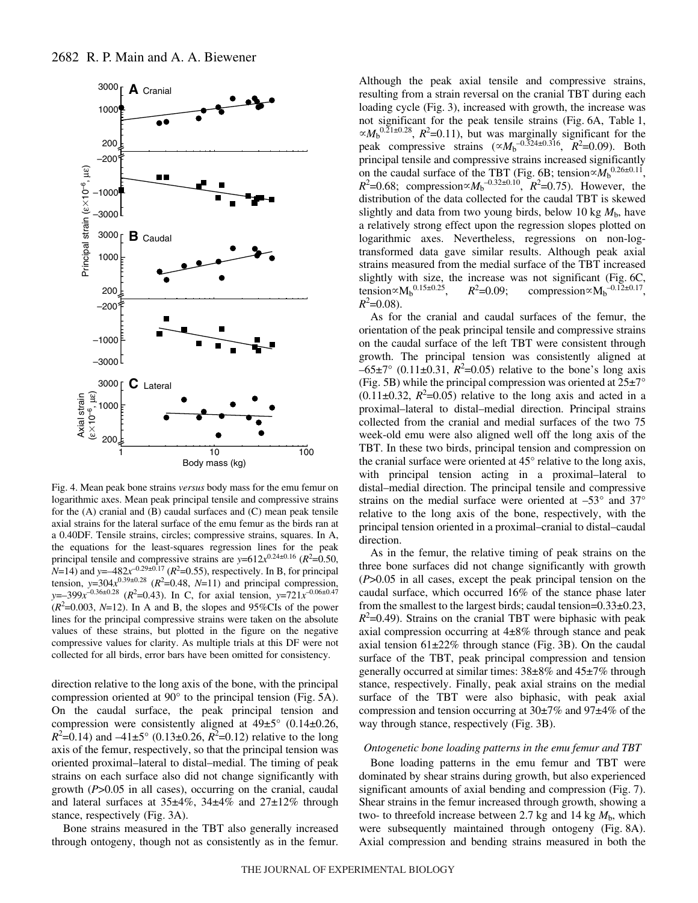

Fig. 4. Mean peak bone strains *versus* body mass for the emu femur on logarithmic axes. Mean peak principal tensile and compressive strains for the (A) cranial and (B) caudal surfaces and (C) mean peak tensile axial strains for the lateral surface of the emu femur as the birds ran at a 0.40DF. Tensile strains, circles; compressive strains, squares. In A, the equations for the least-squares regression lines for the peak principal tensile and compressive strains are  $y=612x^{0.24\pm0.16}$  ( $R^2=0.50$ , *N*=14) and *y*= $-482x^{-0.29\pm0.17}$  ( $R^2$ =0.55), respectively. In B, for principal tension,  $y=304x^{0.39\pm0.28}$  ( $R^2=0.48$ ,  $N=11$ ) and principal compression, *y*=–399*x*–0.36±0.28 (*R*<sup>2</sup> =0.43). In C, for axial tension, *y*=721*x*–0.06±0.47  $(R^2=0.003, N=12)$ . In A and B, the slopes and 95%CIs of the power lines for the principal compressive strains were taken on the absolute values of these strains, but plotted in the figure on the negative compressive values for clarity. As multiple trials at this DF were not collected for all birds, error bars have been omitted for consistency.

direction relative to the long axis of the bone, with the principal compression oriented at  $90^{\circ}$  to the principal tension (Fig. 5A). On the caudal surface, the peak principal tension and compression were consistently aligned at  $49\pm5^{\circ}$  (0.14 $\pm$ 0.26,  $R^2$ =0.14) and  $-41\pm5^\circ$  (0.13 $\pm$ 0.26,  $R^2$ =0.12) relative to the long axis of the femur, respectively, so that the principal tension was oriented proximal–lateral to distal–medial. The timing of peak strains on each surface also did not change significantly with growth (*P*>0.05 in all cases), occurring on the cranial, caudal and lateral surfaces at 35±4%, 34±4% and 27±12% through stance, respectively (Fig. 3A).

Bone strains measured in the TBT also generally increased through ontogeny, though not as consistently as in the femur. Although the peak axial tensile and compressive strains, resulting from a strain reversal on the cranial TBT during each loading cycle (Fig. 3), increased with growth, the increase was not significant for the peak tensile strains (Fig. 6A, Table 1,  $\propto M_b^{0.21 \pm 0.28}$ ,  $R^2$ =0.11), but was marginally significant for the peak compressive strains  $(\alpha M_b^{-0.324 \pm 0.316}, R^2=0.09)$ . Both principal tensile and compressive strains increased significantly on the caudal surface of the TBT (Fig. 6B; tension $\propto M_b^{0.26\pm0.11}$ ,  $R^2$ =0.68; compression $\propto M_b^{-0.32\pm0.10}$ ,  $R^2$ =0.75). However, the distribution of the data collected for the caudal TBT is skewed slightly and data from two young birds, below 10 kg  $M<sub>b</sub>$ , have a relatively strong effect upon the regression slopes plotted on logarithmic axes. Nevertheless, regressions on non-logtransformed data gave similar results. Although peak axial strains measured from the medial surface of the TBT increased slightly with size, the increase was not significant (Fig. 6C, tension ${}^{\infty}M_b{}^{0.15\pm0.25}$ ,  $R^2$  $=0.09;$  compression $\propto M_b^{-0.12 \pm 0.17}$ ,  $R^2$ =0.08).

As for the cranial and caudal surfaces of the femur, the orientation of the peak principal tensile and compressive strains on the caudal surface of the left TBT were consistent through growth. The principal tension was consistently aligned at  $-65\pm7^{\circ}$  (0.11 $\pm$ 0.31,  $R^2$ =0.05) relative to the bone's long axis (Fig. 5B) while the principal compression was oriented at  $25±7°$  $(0.11 \pm 0.32, R^2 = 0.05)$  relative to the long axis and acted in a proximal–lateral to distal–medial direction. Principal strains collected from the cranial and medial surfaces of the two 75 week-old emu were also aligned well off the long axis of the TBT. In these two birds, principal tension and compression on the cranial surface were oriented at 45° relative to the long axis, with principal tension acting in a proximal–lateral to distal–medial direction. The principal tensile and compressive strains on the medial surface were oriented at –53° and 37° relative to the long axis of the bone, respectively, with the principal tension oriented in a proximal–cranial to distal–caudal direction.

As in the femur, the relative timing of peak strains on the three bone surfaces did not change significantly with growth (*P*>0.05 in all cases, except the peak principal tension on the caudal surface, which occurred 16% of the stance phase later from the smallest to the largest birds; caudal tension=0.33±0.23,  $R^2$ =0.49). Strains on the cranial TBT were biphasic with peak axial compression occurring at 4±8% through stance and peak axial tension  $61\pm22\%$  through stance (Fig. 3B). On the caudal surface of the TBT, peak principal compression and tension generally occurred at similar times: 38±8% and 45±7% through stance, respectively. Finally, peak axial strains on the medial surface of the TBT were also biphasic, with peak axial compression and tension occurring at 30±7% and 97±4% of the way through stance, respectively (Fig. 3B).

#### *Ontogenetic bone loading patterns in the emu femur and TBT*

Bone loading patterns in the emu femur and TBT were dominated by shear strains during growth, but also experienced significant amounts of axial bending and compression (Fig. 7). Shear strains in the femur increased through growth, showing a two- to threefold increase between 2.7 kg and 14 kg  $M<sub>b</sub>$ , which were subsequently maintained through ontogeny (Fig. 8A). Axial compression and bending strains measured in both the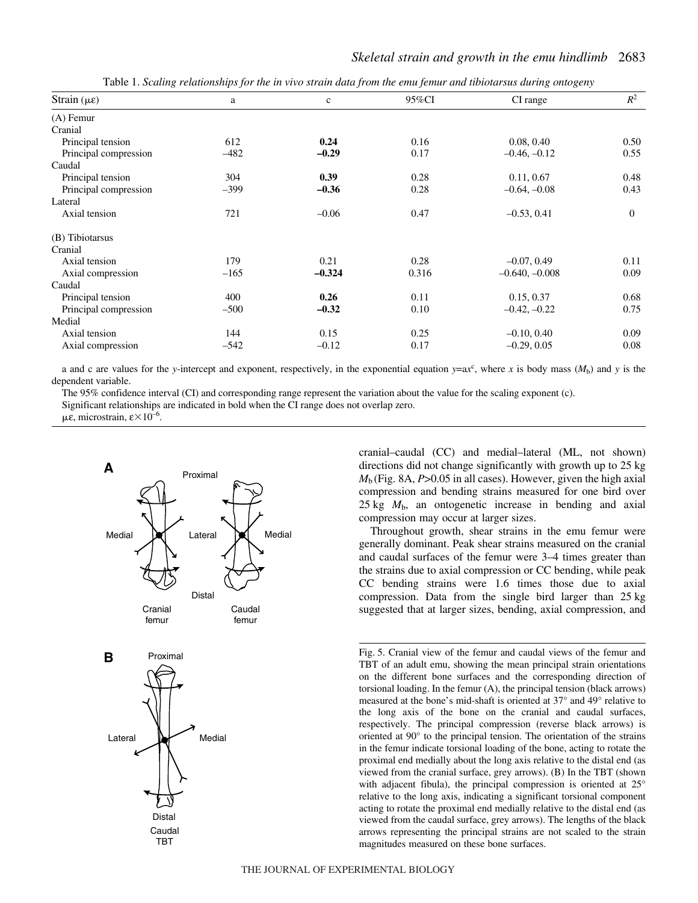| Strain $(\mu \varepsilon)$ | a      | $\mathbf c$ | 95%CI | CI range         | $R^2$          |
|----------------------------|--------|-------------|-------|------------------|----------------|
| $(A)$ Femur                |        |             |       |                  |                |
| Cranial                    |        |             |       |                  |                |
| Principal tension          | 612    | 0.24        | 0.16  | 0.08, 0.40       | 0.50           |
| Principal compression      | $-482$ | $-0.29$     | 0.17  | $-0.46, -0.12$   | 0.55           |
| Caudal                     |        |             |       |                  |                |
| Principal tension          | 304    | 0.39        | 0.28  | 0.11, 0.67       | 0.48           |
| Principal compression      | $-399$ | $-0.36$     | 0.28  | $-0.64, -0.08$   | 0.43           |
| Lateral                    |        |             |       |                  |                |
| Axial tension              | 721    | $-0.06$     | 0.47  | $-0.53, 0.41$    | $\overline{0}$ |
| (B) Tibiotarsus            |        |             |       |                  |                |
| Cranial                    |        |             |       |                  |                |
| Axial tension              | 179    | 0.21        | 0.28  | $-0.07, 0.49$    | 0.11           |
| Axial compression          | $-165$ | $-0.324$    | 0.316 | $-0.640, -0.008$ | 0.09           |
| Caudal                     |        |             |       |                  |                |
| Principal tension          | 400    | 0.26        | 0.11  | 0.15, 0.37       | 0.68           |
| Principal compression      | $-500$ | $-0.32$     | 0.10  | $-0.42, -0.22$   | 0.75           |
| Medial                     |        |             |       |                  |                |
| Axial tension              | 144    | 0.15        | 0.25  | $-0.10, 0.40$    | 0.09           |
| Axial compression          | $-542$ | $-0.12$     | 0.17  | $-0.29, 0.05$    | 0.08           |

Table 1. *Scaling relationships for the in vivo strain data from the emu femur and tibiotarsus during ontogeny* 

a and c are values for the *y*-intercept and exponent, respectively, in the exponential equation  $y = ax^c$ , where *x* is body mass ( $M_b$ ) and *y* is the dependent variable.

The 95% confidence interval (CI) and corresponding range represent the variation about the value for the scaling exponent (c).

Significant relationships are indicated in bold when the CI range does not overlap zero.

με, microstrain,  $\varepsilon \times 10^{-6}$ .



cranial–caudal (CC) and medial–lateral (ML, not shown) directions did not change significantly with growth up to 25 kg  $M<sub>b</sub>$  (Fig. 8A,  $P > 0.05$  in all cases). However, given the high axial compression and bending strains measured for one bird over  $25 \text{ kg}$   $M_{\text{b}}$ , an ontogenetic increase in bending and axial compression may occur at larger sizes.

Throughout growth, shear strains in the emu femur were generally dominant. Peak shear strains measured on the cranial and caudal surfaces of the femur were 3–4 times greater than the strains due to axial compression or CC bending, while peak CC bending strains were 1.6 times those due to axial compression. Data from the single bird larger than 25 kg suggested that at larger sizes, bending, axial compression, and

Fig. 5. Cranial view of the femur and caudal views of the femur and TBT of an adult emu, showing the mean principal strain orientations on the different bone surfaces and the corresponding direction of torsional loading. In the femur (A), the principal tension (black arrows) measured at the bone's mid-shaft is oriented at 37° and 49° relative to the long axis of the bone on the cranial and caudal surfaces, respectively. The principal compression (reverse black arrows) is oriented at 90° to the principal tension. The orientation of the strains in the femur indicate torsional loading of the bone, acting to rotate the proximal end medially about the long axis relative to the distal end (as viewed from the cranial surface, grey arrows). (B) In the TBT (shown with adjacent fibula), the principal compression is oriented at 25° relative to the long axis, indicating a significant torsional component acting to rotate the proximal end medially relative to the distal end (as viewed from the caudal surface, grey arrows). The lengths of the black arrows representing the principal strains are not scaled to the strain magnitudes measured on these bone surfaces.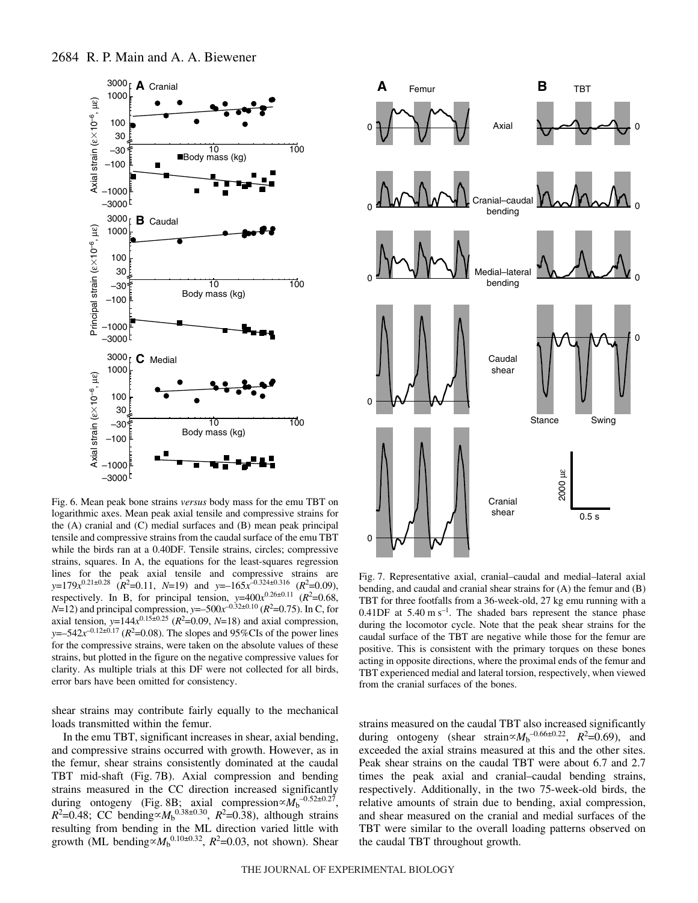

Fig. 6. Mean peak bone strains *versus* body mass for the emu TBT on logarithmic axes. Mean peak axial tensile and compressive strains for the (A) cranial and (C) medial surfaces and (B) mean peak principal tensile and compressive strains from the caudal surface of the emu TBT while the birds ran at a 0.40DF. Tensile strains, circles; compressive strains, squares. In A, the equations for the least-squares regression lines for the peak axial tensile and compressive strains are  $y=179x^{0.21\pm0.28}$  ( $R^2=0.11$ ,  $N=19$ ) and  $y=-165x^{-0.324\pm0.316}$  ( $R^2=0.09$ ), respectively. In B, for principal tension,  $y=400x^{0.26\pm0.11}$  ( $R^2=0.68$ , *N*=12) and principal compression, *y*=–500 $x^{-0.32\pm0.10}$  (*R*<sup>2</sup>=0.75). In C, for axial tension,  $y=144x^{0.15\pm0.25}$  ( $R^2=0.09$ ,  $N=18$ ) and axial compression, *y*=–542 $x^{-0.12\pm0.17}$  ( $R^2$ =0.08). The slopes and 95%CIs of the power lines for the compressive strains, were taken on the absolute values of these strains, but plotted in the figure on the negative compressive values for clarity. As multiple trials at this DF were not collected for all birds, error bars have been omitted for consistency.

shear strains may contribute fairly equally to the mechanical loads transmitted within the femur.

In the emu TBT, significant increases in shear, axial bending, and compressive strains occurred with growth. However, as in the femur, shear strains consistently dominated at the caudal TBT mid-shaft (Fig. 7B). Axial compression and bending strains measured in the CC direction increased significantly during ontogeny (Fig. 8B; axial compression $\propto M_b^{-0.52\pm0.27}$ ,  $R^2$ =0.48; CC bending  $\propto$   $M_b$ <sup>0.38±0.30</sup>,  $R^2$ =0.38), although strains resulting from bending in the ML direction varied little with growth (ML bending  $\propto M_b^{0.10 \pm 0.32}$ ,  $R^2$ =0.03, not shown). Shear



Fig. 7. Representative axial, cranial–caudal and medial–lateral axial bending, and caudal and cranial shear strains for (A) the femur and (B) TBT for three footfalls from a 36-week-old, 27 kg emu running with a 0.41DF at  $5.40 \text{ m s}^{-1}$ . The shaded bars represent the stance phase during the locomotor cycle. Note that the peak shear strains for the caudal surface of the TBT are negative while those for the femur are positive. This is consistent with the primary torques on these bones acting in opposite directions, where the proximal ends of the femur and TBT experienced medial and lateral torsion, respectively, when viewed from the cranial surfaces of the bones.

strains measured on the caudal TBT also increased significantly during ontogeny (shear strain $\propto M_b^{-0.66\pm0.22}$ ,  $R^2=0.69$ ), and exceeded the axial strains measured at this and the other sites. Peak shear strains on the caudal TBT were about 6.7 and 2.7 times the peak axial and cranial–caudal bending strains, respectively. Additionally, in the two 75-week-old birds, the relative amounts of strain due to bending, axial compression, and shear measured on the cranial and medial surfaces of the TBT were similar to the overall loading patterns observed on the caudal TBT throughout growth.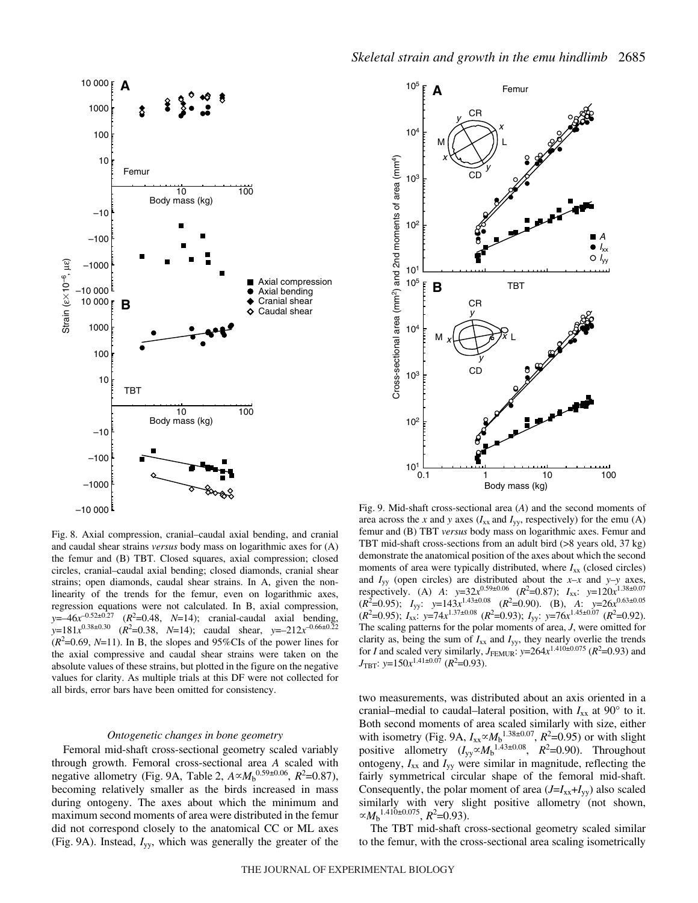

Fig. 8. Axial compression, cranial–caudal axial bending, and cranial and caudal shear strains *versus* body mass on logarithmic axes for (A) the femur and (B) TBT. Closed squares, axial compression; closed circles, cranial–caudal axial bending; closed diamonds, cranial shear strains; open diamonds, caudal shear strains. In A, given the nonlinearity of the trends for the femur, even on logarithmic axes, regression equations were not calculated. In B, axial compression,  $y = -46x^{-0.52 \pm 0.27}$  ( $R^2 = 0.48$ ,  $N = 14$ ); cranial-caudal axial bending,  $y=181x^{0.38\pm0.30}$  ( $R^2=0.38$ ,  $N=14$ ); caudal shear,  $y=-212x^{-0.66\pm0.22}$  $(R<sup>2</sup>=0.69, N=11)$ . In B, the slopes and 95%CIs of the power lines for the axial compressive and caudal shear strains were taken on the absolute values of these strains, but plotted in the figure on the negative values for clarity. As multiple trials at this DF were not collected for all birds, error bars have been omitted for consistency.

#### *Ontogenetic changes in bone geometry*

Femoral mid-shaft cross-sectional geometry scaled variably through growth. Femoral cross-sectional area *A* scaled with negative allometry (Fig. 9A, Table 2,  $A \propto M_b^{0.59 \pm 0.06}$ ,  $R^2 = 0.87$ ), becoming relatively smaller as the birds increased in mass during ontogeny. The axes about which the minimum and maximum second moments of area were distributed in the femur did not correspond closely to the anatomical CC or ML axes (Fig. 9A). Instead,  $I_{yy}$ , which was generally the greater of the



Fig. 9. Mid-shaft cross-sectional area (A) and the second moments of area across the *x* and *y* axes  $(I_{xx}$  and  $I_{yy}$ , respectively) for the emu (A) femur and (B) TBT *versus* body mass on logarithmic axes. Femur and TBT mid-shaft cross-sections from an adult bird (>8 years old, 37 kg) demonstrate the anatomical position of the axes about which the second moments of area were typically distributed, where  $I_{xx}$  (closed circles) and  $I_{yy}$  (open circles) are distributed about the *x*-*x* and *y*-*y* axes, respectively. (A) *A*:  $y=32x^{0.59\pm0.06}$  ( $R^2=0.87$ );  $I_{xx}$ :  $y=120x^{1.38\pm0.07}$  $(R^2=0.95)$ ;  $I_{yy}$ :  $y=143x^{1.43\pm0.08}$   $(R^2=0.90)$ . (B), *A*:  $y=26x^{0.63\pm0.05}$  $(R^2=0.95)$ ;  $I_{xx}$ ;  $y=74x^{1.37\pm0.08}$   $(R^2=0.93)$ ;  $I_{yy}$ ;  $y=76x^{1.45\pm0.07}$   $(R^2=0.92)$ . The scaling patterns for the polar moments of area, *J*, were omitted for clarity as, being the sum of  $I_{xx}$  and  $I_{yy}$ , they nearly overlie the trends for *I* and scaled very similarly,  $J_{\text{FEMUR}}$ :  $y=264x^{1.410\pm0.075}$  ( $R^2=0.93$ ) and  $J_{\text{TBT}}$ : *y*=150 $x^{1.41 \pm 0.07}$  (*R*<sup>2</sup>=0.93).

two measurements, was distributed about an axis oriented in a cranial–medial to caudal–lateral position, with  $I_{xx}$  at 90 $^{\circ}$  to it. Both second moments of area scaled similarly with size, either with isometry (Fig. 9A,  $I_{xx} \propto M_b^{1.38 \pm 0.07}$ ,  $R^2 = 0.95$ ) or with slight positive allometry  $(I_{yy} \propto M_b^{1.43 \pm 0.08}$ ,  $R^2 = 0.90$ ). Throughout ontogeny, *I*xx and *I*yy were similar in magnitude, reflecting the fairly symmetrical circular shape of the femoral mid-shaft. Consequently, the polar moment of area  $(J=I_{xx}+I_{yy})$  also scaled similarly with very slight positive allometry (not shown,  $\propto M_b^{1.410 \pm 0.075}$ ,  $R^2 = 0.93$ ).

The TBT mid-shaft cross-sectional geometry scaled similar to the femur, with the cross-sectional area scaling isometrically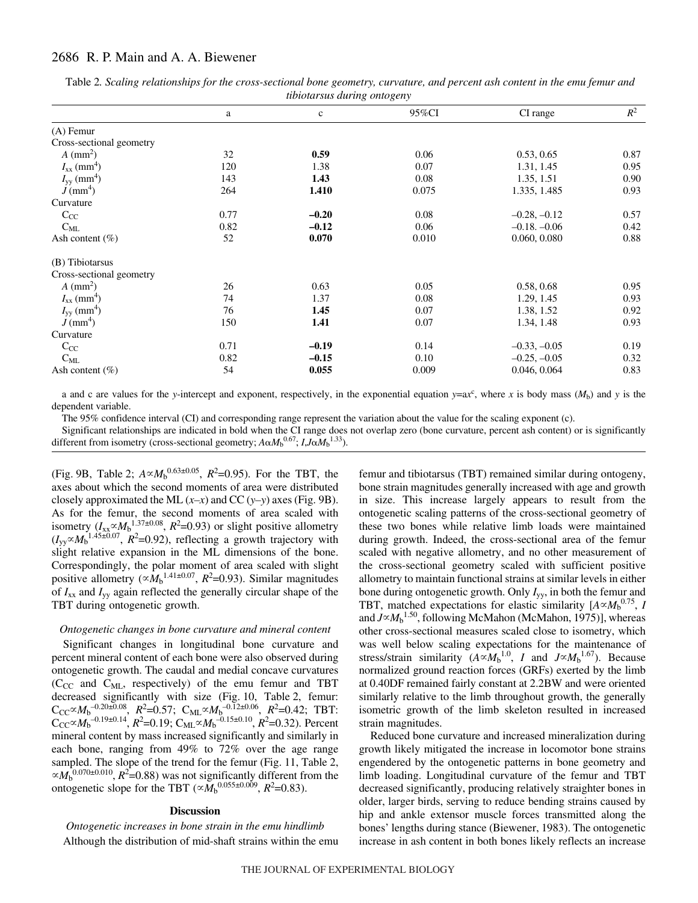# 2686 R. P. Main and A. A. Biewener

|                             |      | $\ldots$    |       |                |       |
|-----------------------------|------|-------------|-------|----------------|-------|
|                             | a    | $\mathbf c$ | 95%CI | CI range       | $R^2$ |
| $(A)$ Femur                 |      |             |       |                |       |
| Cross-sectional geometry    |      |             |       |                |       |
| $A$ (mm <sup>2</sup> )      | 32   | 0.59        | 0.06  | 0.53, 0.65     | 0.87  |
| $I_{xx}$ (mm <sup>4</sup> ) | 120  | 1.38        | 0.07  | 1.31, 1.45     | 0.95  |
| $I_{yy}$ (mm <sup>4</sup> ) | 143  | 1.43        | 0.08  | 1.35, 1.51     | 0.90  |
| $J$ (mm <sup>4</sup> )      | 264  | 1.410       | 0.075 | 1.335, 1.485   | 0.93  |
| Curvature                   |      |             |       |                |       |
| $C_{CC}$                    | 0.77 | $-0.20$     | 0.08  | $-0.28, -0.12$ | 0.57  |
| $C_{ML}$                    | 0.82 | $-0.12$     | 0.06  | $-0.18, -0.06$ | 0.42  |
| Ash content $(\% )$         | 52   | 0.070       | 0.010 | 0.060, 0.080   | 0.88  |
| (B) Tibiotarsus             |      |             |       |                |       |
| Cross-sectional geometry    |      |             |       |                |       |
| $A$ (mm <sup>2</sup> )      | 26   | 0.63        | 0.05  | 0.58, 0.68     | 0.95  |
| $I_{xx}$ (mm <sup>4</sup> ) | 74   | 1.37        | 0.08  | 1.29, 1.45     | 0.93  |
| $I_{yy}$ (mm <sup>4</sup> ) | 76   | 1.45        | 0.07  | 1.38, 1.52     | 0.92  |
| $J$ (mm <sup>4</sup> )      | 150  | 1.41        | 0.07  | 1.34, 1.48     | 0.93  |
| Curvature                   |      |             |       |                |       |
| $C_{CC}$                    | 0.71 | $-0.19$     | 0.14  | $-0.33, -0.05$ | 0.19  |
| $C_{ML}$                    | 0.82 | $-0.15$     | 0.10  | $-0.25, -0.05$ | 0.32  |
| Ash content $(\% )$         | 54   | 0.055       | 0.009 | 0.046, 0.064   | 0.83  |

Table 2. Scaling relationships for the cross-sectional bone geometry, curvature, and percent ash content in the emu femur and *tibiotarsus during ontogeny*

a and c are values for the *y*-intercept and exponent, respectively, in the exponential equation  $y = ax^c$ , where *x* is body mass ( $M_b$ ) and *y* is the dependent variable.

The 95% confidence interval (CI) and corresponding range represent the variation about the value for the scaling exponent (c).

Significant relationships are indicated in bold when the CI range does not overlap zero (bone curvature, percent ash content) or is significantly different from isometry (cross-sectional geometry;  $A \alpha M_b^{0.67}$ ;  $I, J \alpha M_b^{1.33}$ ).

(Fig. 9B, Table 2;  $A \propto M_b^{0.63 \pm 0.05}$ ,  $R^2 = 0.95$ ). For the TBT, the axes about which the second moments of area were distributed closely approximated the ML  $(x-x)$  and CC  $(y-y)$  axes (Fig. 9B). As for the femur, the second moments of area scaled with isometry  $(I_{xx} \propto M_b^{1.37 \pm 0.08}, R^2 = 0.93)$  or slight positive allometry  $(I_{yy} \propto M_b^{-1.45 \pm 0.07}$ ,  $R^2$ =0.92), reflecting a growth trajectory with slight relative expansion in the ML dimensions of the bone. Correspondingly, the polar moment of area scaled with slight positive allometry ( $\propto M_b^{1.41 \pm 0.07}$ , *R*<sup>2</sup>=0.93). Similar magnitudes of  $I_{xx}$  and  $I_{yy}$  again reflected the generally circular shape of the TBT during ontogenetic growth.

#### *Ontogenetic changes in bone curvature and mineral content*

Significant changes in longitudinal bone curvature and percent mineral content of each bone were also observed during ontogenetic growth. The caudal and medial concave curvatures  $(C_{CC}$  and  $C_{ML}$ , respectively) of the emu femur and TBT decreased significantly with size (Fig. 10, Table 2, femur:  $C_{CC} \propto M_b^{-0.20 \pm 0.08}$ ,  $R^2 = 0.57$ ;  $C_{ML} \propto M_b^{-0.12 \pm 0.06}$ ,  $R^2 = 0.42$ ; TBT:  $C_{\text{CC}} \propto M_{\text{b}}^{-0.19 \pm 0.14}, R^2 = 0.19$ ;  $C_{\text{ML}} \propto M_{\text{b}}^{-0.15 \pm 0.10}, R^2 = 0.32$ ). Percent mineral content by mass increased significantly and similarly in each bone, ranging from 49% to 72% over the age range sampled. The slope of the trend for the femur (Fig. 11, Table 2,  $\propto M_b^{-0.070 \pm 0.010}$ ,  $R^2$ =0.88) was not significantly different from the ontogenetic slope for the TBT ( $\alpha M_b^{0.055\pm0.009}$ ,  $R^2$ =0.83).

#### **Discussion**

*Ontogenetic increases in bone strain in the emu hindlimb* Although the distribution of mid-shaft strains within the emu femur and tibiotarsus (TBT) remained similar during ontogeny, bone strain magnitudes generally increased with age and growth in size. This increase largely appears to result from the ontogenetic scaling patterns of the cross-sectional geometry of these two bones while relative limb loads were maintained during growth. Indeed, the cross-sectional area of the femur scaled with negative allometry, and no other measurement of the cross-sectional geometry scaled with sufficient positive allometry to maintain functional strains at similar levels in either bone during ontogenetic growth. Only *I*yy, in both the femur and TBT, matched expectations for elastic similarity  $[A \propto M_b^{0.75}, I$ and  $J \propto M_b$ <sup>1.50</sup>, following McMahon (McMahon, 1975)], whereas other cross-sectional measures scaled close to isometry, which was well below scaling expectations for the maintenance of stress/strain similarity  $(A \propto M_b^{1.0}, I$  and  $J \propto M_b^{1.67}$ ). Because normalized ground reaction forces (GRFs) exerted by the limb at 0.40DF remained fairly constant at 2.2BW and were oriented similarly relative to the limb throughout growth, the generally isometric growth of the limb skeleton resulted in increased strain magnitudes.

Reduced bone curvature and increased mineralization during growth likely mitigated the increase in locomotor bone strains engendered by the ontogenetic patterns in bone geometry and limb loading. Longitudinal curvature of the femur and TBT decreased significantly, producing relatively straighter bones in older, larger birds, serving to reduce bending strains caused by hip and ankle extensor muscle forces transmitted along the bones' lengths during stance (Biewener, 1983). The ontogenetic increase in ash content in both bones likely reflects an increase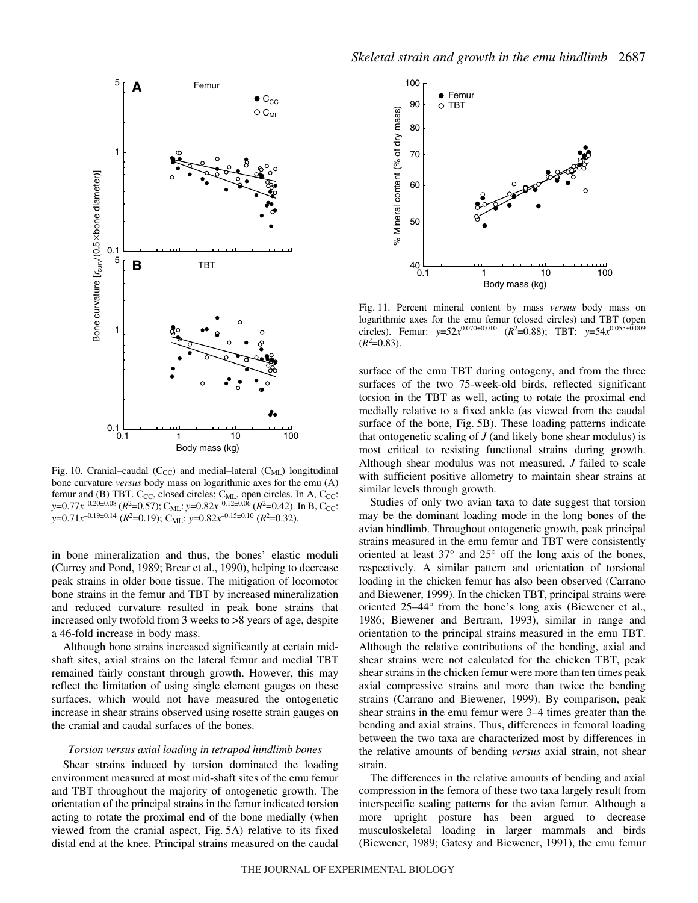

Fig. 10. Cranial–caudal (C<sub>CC</sub>) and medial–lateral (C<sub>ML</sub>) longitudinal bone curvature *versus* body mass on logarithmic axes for the emu (A) femur and (B) TBT.  $C_{CC}$ , closed circles;  $C_{ML}$ , open circles. In A,  $C_{CC}$ : *y*=0.77*x*<sup>-0.20±0.08</sup> (*R*<sup>2</sup>=0.57); C<sub>ML</sub>: *y*=0.82*x*<sup>-0.12±0.06</sup> (*R*<sup>2</sup>=0.42). In B, C<sub>CC</sub>: *y*=0.71*x*<sup>-0.19±0.14</sup> (*R*<sup>2</sup>=0.19); C<sub>ML</sub>: *y*=0.82*x*<sup>-0.15±0.10</sup> (*R*<sup>2</sup>=0.32).

in bone mineralization and thus, the bones' elastic moduli (Currey and Pond, 1989; Brear et al., 1990), helping to decrease peak strains in older bone tissue. The mitigation of locomotor bone strains in the femur and TBT by increased mineralization and reduced curvature resulted in peak bone strains that increased only twofold from 3 weeks to >8 years of age, despite a 46-fold increase in body mass.

Although bone strains increased significantly at certain midshaft sites, axial strains on the lateral femur and medial TBT remained fairly constant through growth. However, this may reflect the limitation of using single element gauges on these surfaces, which would not have measured the ontogenetic increase in shear strains observed using rosette strain gauges on the cranial and caudal surfaces of the bones.

#### *Torsion versus axial loading in tetrapod hindlimb bones*

Shear strains induced by torsion dominated the loading environment measured at most mid-shaft sites of the emu femur and TBT throughout the majority of ontogenetic growth. The orientation of the principal strains in the femur indicated torsion acting to rotate the proximal end of the bone medially (when viewed from the cranial aspect, Fig. 5A) relative to its fixed distal end at the knee. Principal strains measured on the caudal



Fig. 11. Percent mineral content by mass *versus* body mass on logarithmic axes for the emu femur (closed circles) and TBT (open circles). Femur:  $y=52x^{0.070\pm0.010}$  ( $R^2=0.88$ ); TBT:  $y=54x^{0.055\pm0.009}$  $(R<sup>2</sup>=0.83)$ .

surface of the emu TBT during ontogeny, and from the three surfaces of the two 75-week-old birds, reflected significant torsion in the TBT as well, acting to rotate the proximal end medially relative to a fixed ankle (as viewed from the caudal surface of the bone, Fig. 5B). These loading patterns indicate that ontogenetic scaling of  $J$  (and likely bone shear modulus) is most critical to resisting functional strains during growth. Although shear modulus was not measured, *J* failed to scale with sufficient positive allometry to maintain shear strains at similar levels through growth.

Studies of only two avian taxa to date suggest that torsion may be the dominant loading mode in the long bones of the avian hindlimb. Throughout ontogenetic growth, peak principal strains measured in the emu femur and TBT were consistently oriented at least 37° and 25° off the long axis of the bones, respectively. A similar pattern and orientation of torsional loading in the chicken femur has also been observed (Carrano and Biewener, 1999). In the chicken TBT, principal strains were oriented 25–44° from the bone's long axis (Biewener et al., 1986; Biewener and Bertram, 1993), similar in range and orientation to the principal strains measured in the emu TBT. Although the relative contributions of the bending, axial and shear strains were not calculated for the chicken TBT, peak shear strains in the chicken femur were more than ten times peak axial compressive strains and more than twice the bending strains (Carrano and Biewener, 1999). By comparison, peak shear strains in the emu femur were 3–4 times greater than the bending and axial strains. Thus, differences in femoral loading between the two taxa are characterized most by differences in the relative amounts of bending *versus* axial strain, not shear strain.

The differences in the relative amounts of bending and axial compression in the femora of these two taxa largely result from interspecific scaling patterns for the avian femur. Although a more upright posture has been argued to decrease musculoskeletal loading in larger mammals and birds (Biewener, 1989; Gatesy and Biewener, 1991), the emu femur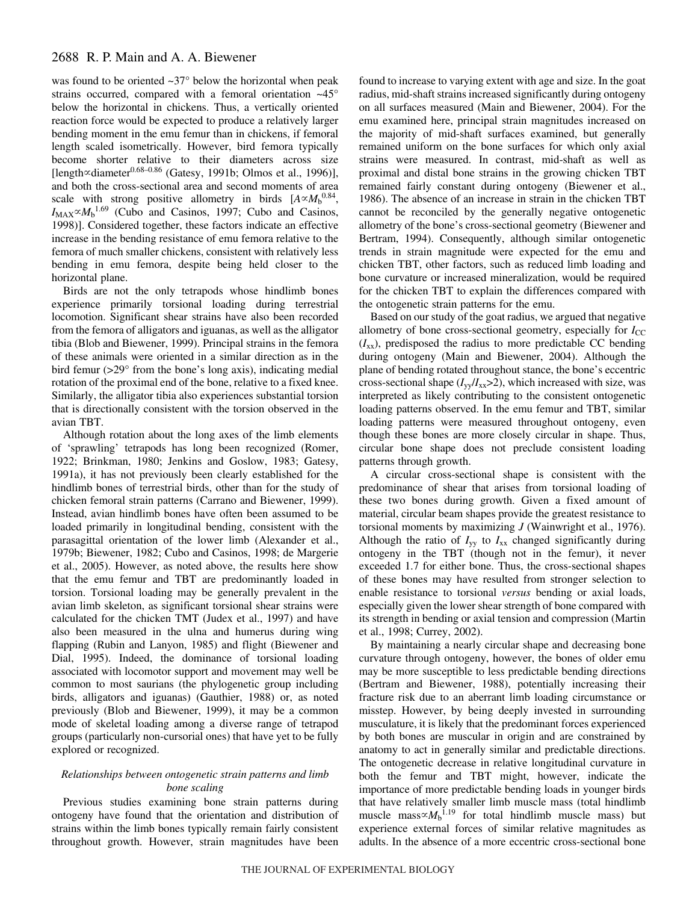was found to be oriented ~37° below the horizontal when peak strains occurred, compared with a femoral orientation ~45° below the horizontal in chickens. Thus, a vertically oriented reaction force would be expected to produce a relatively larger bending moment in the emu femur than in chickens, if femoral length scaled isometrically. However, bird femora typically become shorter relative to their diameters across size [length $\propto$ diameter $0.68-0.86$  (Gatesy, 1991b; Olmos et al., 1996)], and both the cross-sectional area and second moments of area scale with strong positive allometry in birds  $[A \propto M_b^{0.84}]$ ,  $I_{MAX} \propto M_b$ <sup>1.69</sup> (Cubo and Casinos, 1997; Cubo and Casinos, 1998)]. Considered together, these factors indicate an effective increase in the bending resistance of emu femora relative to the femora of much smaller chickens, consistent with relatively less bending in emu femora, despite being held closer to the horizontal plane.

Birds are not the only tetrapods whose hindlimb bones experience primarily torsional loading during terrestrial locomotion. Significant shear strains have also been recorded from the femora of alligators and iguanas, as well as the alligator tibia (Blob and Biewener, 1999). Principal strains in the femora of these animals were oriented in a similar direction as in the bird femur (>29° from the bone's long axis), indicating medial rotation of the proximal end of the bone, relative to a fixed knee. Similarly, the alligator tibia also experiences substantial torsion that is directionally consistent with the torsion observed in the avian TBT.

Although rotation about the long axes of the limb elements of 'sprawling' tetrapods has long been recognized (Romer, 1922; Brinkman, 1980; Jenkins and Goslow, 1983; Gatesy, 1991a), it has not previously been clearly established for the hindlimb bones of terrestrial birds, other than for the study of chicken femoral strain patterns (Carrano and Biewener, 1999). Instead, avian hindlimb bones have often been assumed to be loaded primarily in longitudinal bending, consistent with the parasagittal orientation of the lower limb (Alexander et al., 1979b; Biewener, 1982; Cubo and Casinos, 1998; de Margerie et al., 2005). However, as noted above, the results here show that the emu femur and TBT are predominantly loaded in torsion. Torsional loading may be generally prevalent in the avian limb skeleton, as significant torsional shear strains were calculated for the chicken TMT (Judex et al., 1997) and have also been measured in the ulna and humerus during wing flapping (Rubin and Lanyon, 1985) and flight (Biewener and Dial, 1995). Indeed, the dominance of torsional loading associated with locomotor support and movement may well be common to most saurians (the phylogenetic group including birds, alligators and iguanas) (Gauthier, 1988) or, as noted previously (Blob and Biewener, 1999), it may be a common mode of skeletal loading among a diverse range of tetrapod groups (particularly non-cursorial ones) that have yet to be fully explored or recognized.

# *Relationships between ontogenetic strain patterns and limb bone scaling*

Previous studies examining bone strain patterns during ontogeny have found that the orientation and distribution of strains within the limb bones typically remain fairly consistent throughout growth. However, strain magnitudes have been found to increase to varying extent with age and size. In the goat radius, mid-shaft strains increased significantly during ontogeny on all surfaces measured (Main and Biewener, 2004). For the emu examined here, principal strain magnitudes increased on the majority of mid-shaft surfaces examined, but generally remained uniform on the bone surfaces for which only axial strains were measured. In contrast, mid-shaft as well as proximal and distal bone strains in the growing chicken TBT remained fairly constant during ontogeny (Biewener et al., 1986). The absence of an increase in strain in the chicken TBT cannot be reconciled by the generally negative ontogenetic allometry of the bone's cross-sectional geometry (Biewener and Bertram, 1994). Consequently, although similar ontogenetic trends in strain magnitude were expected for the emu and chicken TBT, other factors, such as reduced limb loading and bone curvature or increased mineralization, would be required for the chicken TBT to explain the differences compared with the ontogenetic strain patterns for the emu.

Based on our study of the goat radius, we argued that negative allometry of bone cross-sectional geometry, especially for  $I_{\rm CC}$  $(I_{xx})$ , predisposed the radius to more predictable CC bending during ontogeny (Main and Biewener, 2004). Although the plane of bending rotated throughout stance, the bone's eccentric cross-sectional shape  $(I_{\text{vv}}/I_{\text{xx}} > 2)$ , which increased with size, was interpreted as likely contributing to the consistent ontogenetic loading patterns observed. In the emu femur and TBT, similar loading patterns were measured throughout ontogeny, even though these bones are more closely circular in shape. Thus, circular bone shape does not preclude consistent loading patterns through growth.

A circular cross-sectional shape is consistent with the predominance of shear that arises from torsional loading of these two bones during growth. Given a fixed amount of material, circular beam shapes provide the greatest resistance to torsional moments by maximizing *J* (Wainwright et al., 1976). Although the ratio of  $I_{yy}$  to  $I_{xx}$  changed significantly during ontogeny in the TBT (though not in the femur), it never exceeded 1.7 for either bone. Thus, the cross-sectional shapes of these bones may have resulted from stronger selection to enable resistance to torsional *versus* bending or axial loads, especially given the lower shear strength of bone compared with its strength in bending or axial tension and compression (Martin et al., 1998; Currey, 2002).

By maintaining a nearly circular shape and decreasing bone curvature through ontogeny, however, the bones of older emu may be more susceptible to less predictable bending directions (Bertram and Biewener, 1988), potentially increasing their fracture risk due to an aberrant limb loading circumstance or misstep. However, by being deeply invested in surrounding musculature, it is likely that the predominant forces experienced by both bones are muscular in origin and are constrained by anatomy to act in generally similar and predictable directions. The ontogenetic decrease in relative longitudinal curvature in both the femur and TBT might, however, indicate the importance of more predictable bending loads in younger birds that have relatively smaller limb muscle mass (total hindlimb muscle mass $\propto M_b$ <sup>1.19</sup> for total hindlimb muscle mass) but experience external forces of similar relative magnitudes as adults. In the absence of a more eccentric cross-sectional bone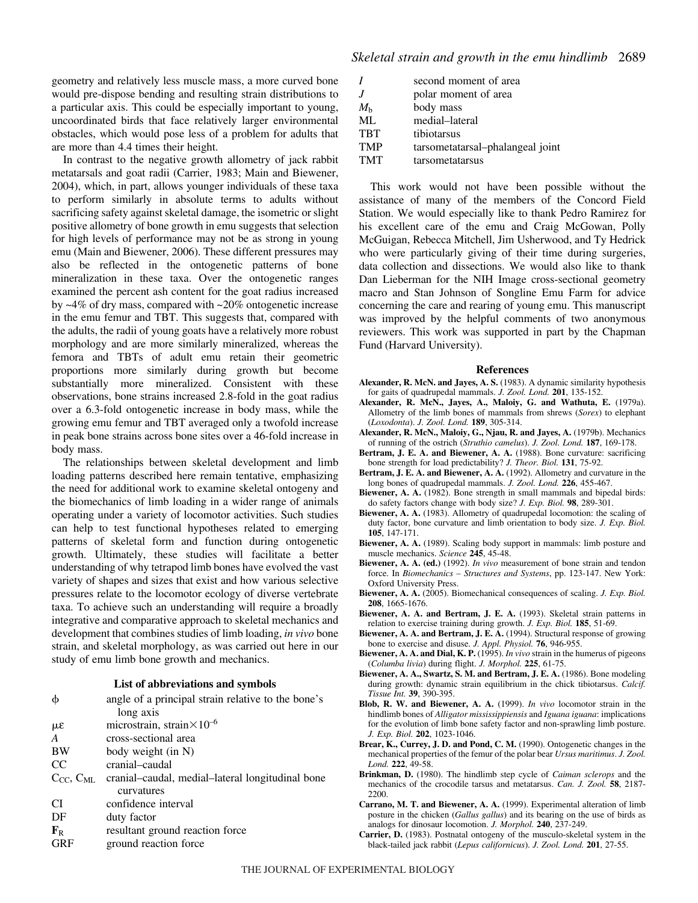geometry and relatively less muscle mass, a more curved bone would pre-dispose bending and resulting strain distributions to a particular axis. This could be especially important to young, uncoordinated birds that face relatively larger environmental obstacles, which would pose less of a problem for adults that are more than 4.4 times their height.

In contrast to the negative growth allometry of jack rabbit metatarsals and goat radii (Carrier, 1983; Main and Biewener, 2004), which, in part, allows younger individuals of these taxa to perform similarly in absolute terms to adults without sacrificing safety against skeletal damage, the isometric or slight positive allometry of bone growth in emu suggests that selection for high levels of performance may not be as strong in young emu (Main and Biewener, 2006). These different pressures may also be reflected in the ontogenetic patterns of bone mineralization in these taxa. Over the ontogenetic ranges examined the percent ash content for the goat radius increased by ~4% of dry mass, compared with ~20% ontogenetic increase in the emu femur and TBT. This suggests that, compared with the adults, the radii of young goats have a relatively more robust morphology and are more similarly mineralized, whereas the femora and TBTs of adult emu retain their geometric proportions more similarly during growth but become substantially more mineralized. Consistent with these observations, bone strains increased 2.8-fold in the goat radius over a 6.3-fold ontogenetic increase in body mass, while the growing emu femur and TBT averaged only a twofold increase in peak bone strains across bone sites over a 46-fold increase in body mass.

The relationships between skeletal development and limb loading patterns described here remain tentative, emphasizing the need for additional work to examine skeletal ontogeny and the biomechanics of limb loading in a wider range of animals operating under a variety of locomotor activities. Such studies can help to test functional hypotheses related to emerging patterns of skeletal form and function during ontogenetic growth. Ultimately, these studies will facilitate a better understanding of why tetrapod limb bones have evolved the vast variety of shapes and sizes that exist and how various selective pressures relate to the locomotor ecology of diverse vertebrate taxa. To achieve such an understanding will require a broadly integrative and comparative approach to skeletal mechanics and development that combines studies of limb loading, *in vivo* bone strain, and skeletal morphology, as was carried out here in our study of emu limb bone growth and mechanics.

#### **List of abbreviations and symbols**

| $\phi$              | angle of a principal strain relative to the bone's |
|---------------------|----------------------------------------------------|
|                     | long axis                                          |
| με                  | microstrain, strain $\times 10^{-6}$               |
| A                   | cross-sectional area                               |
| <b>BW</b>           | body weight (in N)                                 |
| <sub>CC</sub>       | cranial-caudal                                     |
| $C_{CC}$ , $C_{ML}$ | cranial-caudal, medial-lateral longitudinal bone   |
|                     | curvatures                                         |
| CI.                 | confidence interval                                |
| DF                  | duty factor                                        |
| $F_R$               | resultant ground reaction force                    |
| <b>GRF</b>          | ground reaction force                              |
|                     |                                                    |

|             | second moment of area            |
|-------------|----------------------------------|
|             | polar moment of area             |
| $M_{\rm h}$ | body mass                        |
| ML          | medial-lateral                   |
| <b>TRT</b>  | tibiotarsus                      |
| <b>TMP</b>  | tarsometatarsal-phalangeal joint |
| <b>TMT</b>  | tarsometatarsus                  |

This work would not have been possible without the assistance of many of the members of the Concord Field Station. We would especially like to thank Pedro Ramirez for his excellent care of the emu and Craig McGowan, Polly McGuigan, Rebecca Mitchell, Jim Usherwood, and Ty Hedrick who were particularly giving of their time during surgeries, data collection and dissections. We would also like to thank Dan Lieberman for the NIH Image cross-sectional geometry macro and Stan Johnson of Songline Emu Farm for advice concerning the care and rearing of young emu. This manuscript was improved by the helpful comments of two anonymous reviewers. This work was supported in part by the Chapman Fund (Harvard University).

#### **References**

- **Alexander, R. McN. and Jayes, A. S.** (1983). A dynamic similarity hypothesis for gaits of quadrupedal mammals. *J. Zool. Lond.* **201**, 135-152.
- **Alexander, R. McN., Jayes, A., Maloiy, G. and Wathuta, E.** (1979a). Allometry of the limb bones of mammals from shrews (*Sorex*) to elephant (*Loxodonta*). *J. Zool. Lond.* **189**, 305-314.
- **Alexander, R. McN., Maloiy, G., Njau, R. and Jayes, A.** (1979b). Mechanics of running of the ostrich (*Struthio camelus*). *J. Zool. Lond.* **187**, 169-178.
- **Bertram, J. E. A. and Biewener, A. A.** (1988). Bone curvature: sacrificing bone strength for load predictability? *J. Theor. Biol.* **131**, 75-92.
- **Bertram, J. E. A. and Biewener, A. A.** (1992). Allometry and curvature in the long bones of quadrupedal mammals. *J. Zool. Lond.* **226**, 455-467.
- **Biewener, A. A.** (1982). Bone strength in small mammals and bipedal birds: do safety factors change with body size? *J. Exp. Biol.* **98**, 289-301.
- **Biewener, A. A.** (1983). Allometry of quadrupedal locomotion: the scaling of duty factor, bone curvature and limb orientation to body size. *J. Exp. Biol.* **105**, 147-171.
- **Biewener, A. A.** (1989). Scaling body support in mammals: limb posture and muscle mechanics. *Science* **245**, 45-48.
- **Biewener, A. A. (ed.)** (1992). *In vivo* measurement of bone strain and tendon force. In *Biomechanics – Structures and Systems*, pp. 123-147. New York: Oxford University Press.
- **Biewener, A. A.** (2005). Biomechanical consequences of scaling. *J. Exp. Biol.* **208**, 1665-1676.
- **Biewener, A. A. and Bertram, J. E. A.** (1993). Skeletal strain patterns in relation to exercise training during growth. *J. Exp. Biol.* **185**, 51-69.
- **Biewener, A. A. and Bertram, J. E. A.** (1994). Structural response of growing bone to exercise and disuse. *J. Appl. Physiol.* **76**, 946-955.
- **Biewener, A. A. and Dial, K. P.** (1995). *In vivo* strain in the humerus of pigeons (*Columba livia*) during flight. *J. Morphol.* **225**, 61-75.
- **Biewener, A. A., Swartz, S. M. and Bertram, J. E. A.** (1986). Bone modeling during growth: dynamic strain equilibrium in the chick tibiotarsus. *Calcif. Tissue Int.* **39**, 390-395.
- **Blob, R. W. and Biewener, A. A.** (1999). *In vivo* locomotor strain in the hindlimb bones of *Alligator mississippiensis* and *Iguana iguana*: implications for the evolution of limb bone safety factor and non-sprawling limb posture. *J. Exp. Biol.* **202**, 1023-1046.
- **Brear, K., Currey, J. D. and Pond, C. M.** (1990). Ontogenetic changes in the mechanical properties of the femur of the polar bear *Ursus maritimus*. *J. Zool. Lond.* **222**, 49-58.
- **Brinkman, D.** (1980). The hindlimb step cycle of *Caiman sclerops* and the mechanics of the crocodile tarsus and metatarsus. *Can. J. Zool.* **58**, 2187- 2200.
- **Carrano, M. T. and Biewener, A. A.** (1999). Experimental alteration of limb posture in the chicken (*Gallus gallus*) and its bearing on the use of birds as analogs for dinosaur locomotion. *J. Morphol.* **240**, 237-249.
- **Carrier, D.** (1983). Postnatal ontogeny of the musculo-skeletal system in the black-tailed jack rabbit (*Lepus californicus*). *J. Zool. Lond.* **201**, 27-55.